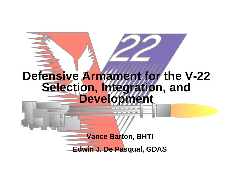# **Defensive Armament for the V-22 Selection, Integration, and Development**

**Vance Barton, BHTI**

**Edwin J. De Pasqual, GDAS**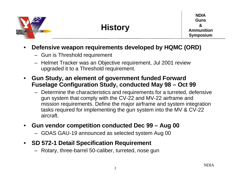

#### • **Defensive weapon requirements developed by HQMC (ORD)**

- Gun is Threshold requirement
- Helmet Tracker was an Objective requirement, Jul 2001 review upgraded it to a Threshold requirement.
- **Gun Study, an element of government funded Forward Fuselage Configuration Study, conducted May 98 – Oct 99**
	- Determine the characteristics and requirements for a turreted, defensive gun system that comply with the CV-22 and MV-22 airframe and mission requirements. Define the major airframe and system integration tasks required for implementing the gun system into the MV & CV-22 aircraft.
- **Gun vendor competition conducted Dec 99 Aug 00**
	- GDAS GAU-19 announced as selected system Aug 00
- **SD 572-1 Detail Specification Requirement**
	- Rotary, three-barrel 50-caliber, turreted, nose gun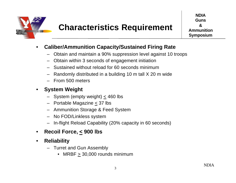

- **Caliber/Ammunition Capacity/Sustained Firing Rate**
	- Obtain and maintain a 90% suppression level against 10 troops
	- Obtain within 3 seconds of engagement initiation
	- Sustained without reload for 60 seconds minimum
	- Randomly distributed in a building 10 m tall X 20 m wide
	- From 500 meters

#### • **System Weight**

- System (empty weight)  $\leq$  460 lbs
- Portable Magazine < 37 lbs
- Ammunition Storage & Feed System
- No FOD/Linkless system
- In-flight Reload Capability (20% capacity in 60 seconds)
- **Recoil Force, < 900 lbs**
- **Reliability**
	- Turret and Gun Assembly
		- MRBF > 30,000 rounds minimum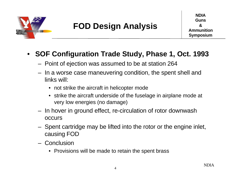

## • **SOF Configuration Trade Study, Phase 1, Oct. 1993**

- Point of ejection was assumed to be at station 264
- In a worse case maneuvering condition, the spent shell and links will:
	- not strike the aircraft in helicopter mode
	- strike the aircraft underside of the fuselage in airplane mode at very low energies (no damage)
- In hover in ground effect, re-circulation of rotor downwash occurs
- Spent cartridge may be lifted into the rotor or the engine inlet, causing FOD
- Conclusion
	- Provisions will be made to retain the spent brass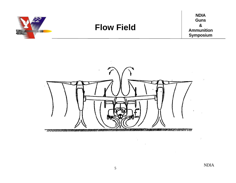

**NDIA Guns & Ammunition Symposium**

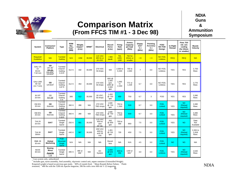

### **Comparison Matrix (From FFCS TIM #1 - 3 Dec 98)**

**NDIA Guns & Ammunition Symposium**

| System                                            | Contractor/<br>Platform                                                                      | <b>Type</b>                                      | <b>ROM</b><br>Rec<br>Cost <sup>1</sup><br>(98\$) | Weight<br>Impact <sup>2</sup><br>(Lbs) | MRBF <sup>4</sup> | <b>Electrical</b>                            | Recoil<br>Force<br>(Lbs)                         | Firing<br>Rate<br>(spm) | Ammo<br>Capacity<br>per load<br>(Rds) | Disper-<br>sion <sup>3</sup><br>3s<br>(Mils) | Pointing<br>Accuracy<br>$3s$<br>(Mils) | FOD/<br>NO FOD<br>Design   | In-Flight<br>Reload | Fires 750<br>rds w/o<br>cooling<br>(for 20mm<br>or smaller) | <b>Muzzle</b><br>Velocity   |
|---------------------------------------------------|----------------------------------------------------------------------------------------------|--------------------------------------------------|--------------------------------------------------|----------------------------------------|-------------------|----------------------------------------------|--------------------------------------------------|-------------------------|---------------------------------------|----------------------------------------------|----------------------------------------|----------------------------|---------------------|-------------------------------------------------------------|-----------------------------|
| Required/<br>Guideline                            | N/A                                                                                          | <b>Turreted</b><br>Gatling                       | N/A                                              | < 458                                  | 30,000            | <b>115 VAC</b><br>400 Hz or<br><b>28 VDC</b> | < 900<br>(goal)                                  | 750,<br>1000<br>1200    | <b>750 for</b><br>20mm or<br>smaller  | < 8                                          | $\leq 3$                               | NO FOD.<br><b>Linkless</b> | <b>REQ</b>          | <b>REQ</b>                                                  | N/A                         |
| GAU-2A<br>Or<br>M134<br>7.62 mm                   | GD<br>$\mathsf{U}\mathsf{H}\text{-}\mathsf{1}\mathsf{N}^5$<br>$AH-1G$<br>CH-47D<br>$UH-60A5$ | Turreted<br>6 barrel<br>Gatling<br>$3.15$ ft     | 312 K                                            | 432                                    | 30,000            | <b>270 VDC</b><br>50 Amps                    | N/A                                              | 2,000 to<br>6,000       | 700 to<br>2,000                       | $\overline{7}$                               | 3.0                                    | NO FOD.<br>Linkless        | <b>YES</b>          | <b>YES</b>                                                  | 2,750<br>ft/sec             |
| <b>GAU-19/A</b><br>.50 Cal<br>$(12.7 \text{ mm})$ | GD<br><b>UH-60A</b> <sup>5</sup>                                                             | Turreted<br>3 barrel<br>Gatling<br>3.87 ft       | 312 K                                            | 454                                    | 30,000            | <b>270 VDC</b><br>60 Amps                    | 800 @<br>1,000<br>spm,<br>1000 @<br>2,000<br>spm | 1,000<br>to<br>2.000    | 772 or<br>1.428                       | 6.7                                          | 3.0                                    | NO FOD.<br>Linkless        | <b>YES</b>          | <b>YES</b>                                                  | 2.770<br>ft/sec             |
| M-197<br>20 mm                                    | GD<br>AH-1W                                                                                  | Turreted<br>3 barrel<br>Gatling<br>5 ft          | 380                                              | 512                                    | 30,000            | 28 VDC.<br>60 Amps                           | 1,450<br>@750<br>spm                             | 650                     | 750                                   | 6.7                                          | 3                                      | <b>FOD</b>                 | <b>YES</b>          | <b>YES</b>                                                  | 3,380<br>ft/sec             |
| XM-301<br>20 mm                                   | GD<br><b>RAH-66</b>                                                                          | Turreted<br>3 barrel<br>Gatling<br>5.08 ft       | 360 K                                            | 280                                    | N/A               | 270 VDC<br><b>TBD Amps</b>                   | 1,500<br>@750<br>spm                             | 750 to<br>1,500         | 500                                   | 6.7                                          | 3.0                                    | FOD.<br>Linked             | <b>YES</b>          | <b>NO</b><br>(Reload<br>required)                           | 3,380<br>ft/sec             |
| XM-301<br>20 mm                                   | GD<br><b>RAH-66</b>                                                                          | Turreted<br>3 barrel<br>Gatling<br>5.08 ft       | 360 K                                            | 280                                    | N/A               | 270 VDC<br><b>TBD Amps</b>                   | 1,500<br>@750<br>spm                             | 750 to<br>1,500         | 500                                   | 6.7                                          | 3.0                                    | FOD.<br>Linked             | <b>YES</b>          | <b>NO</b><br>(Reload<br>required)                           | 3,380<br>ft/sec             |
| <b>THL20</b><br>20 mm                             | <b>GIAT</b>                                                                                  | Turreted<br>Single<br>barrel                     | 250 K                                            | 501                                    | 30.000            | <b>115 VAC</b><br>400 Hz<br>and<br>28 Vdc    | 562<br>@ 800<br>spm                              | 700 to<br>900           | 860                                   | 7.5                                          | 3.0                                    | FOD.<br>Linked             | <b>YES</b>          | <b>NO</b>                                                   | Data<br>Not<br>Available    |
| THL30<br>30mm                                     | <b>GIAT</b>                                                                                  | Turreted<br>Single<br>barrel                     | 440 K                                            | 567                                    | 30,000            | <b>200 VAC</b><br>400 Hz<br>and 28<br>Vdc    | 1,461<br>@720<br>spm                             | 720                     | 450                                   | 7.5                                          | 3.0                                    | FOD.<br>Linked             | <b>YES</b>          | <b>NO</b><br>(Reload<br>required)                           | 2,494 to<br>2,658<br>ft/sec |
| <b>RMK-30</b><br>30 mm                            | Global<br><b>Marketing</b>                                                                   | <b>POD</b><br><b>Mounted</b><br>Single<br>barrel | N/A                                              | N/A                                    | N/A               | N/A                                          | Recoil-<br>less                                  | N/A                     | N/A                                   | 4.5                                          | 3.0                                    | FOD,<br>Linked             | <b>NO</b>           | <b>NO</b>                                                   | N/A                         |
| M230<br>30 mm                                     | <b>Boeing</b><br>Mesa<br>Apache<br>LB                                                        | Turreted<br>Single<br>barrel                     | 395 K                                            | 466 or<br>396 $6$                      | N/A               | DC<br>System                                 | 3,000<br>@ 625<br>spm                            | 600 to<br>650           | 1150 or<br>600 <sup>6</sup>           | 3.0                                          | 3.0                                    | FOD.<br><b>Linkless</b>    | <b>YES</b>          | <b>NO</b><br>(Reload<br>required)                           | 2,640<br>ft/sec             |

<sup>1</sup> Gun system only, unburdened<br>
2 Includes gun, turret assembly, feed assembly, electronic control unit, ammo container (Uninstalled Weight). Required weight is based on previous gun study. <sup>3</sup> 80% of rounds fired, <sup>4</sup> Mean Rounds Before Failure, <sup>6</sup> Pintle mounted, <sup>6</sup> 466 lbs with the 1200 rds Apache magazine, 396 lbs with a new 600 rds V-22 magazine.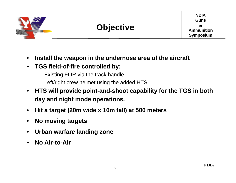

- **Install the weapon in the undernose area of the aircraft**
- **TGS field-of-fire controlled by:**
	- Existing FLIR via the track handle
	- Left/right crew helmet using the added HTS.
- **HTS will provide point-and-shoot capability for the TGS in both day and night mode operations.**
- **Hit a target (20m wide x 10m tall) at 500 meters**
- **No moving targets**
- **Urban warfare landing zone**
- **No Air-to-Air**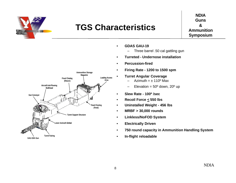

## **TGS Characteristics**

**NDIA Guns & Ammunition Symposium**



- **GDAS GAU-19**
	- Three barrel .50 cal gattling gun
- **Turreted Undernose installation**
- **Percussion-fired**
- **Firing Rate 1200 to 1500 spm**
	- **Turret Angular Coverage**
		- Azimuth  $= \pm 110^{\circ}$  Max
		- Elevation =  $50^{\circ}$  down,  $20^{\circ}$  up
- **Slew Rate 100º /sec**
- **Recoil Force < 550 lbs**
- **Uninstalled Weight 456 lbs**
- **MRBF > 30,000 rounds**
- **Linkless/NoFOD System**
- **Electrically Driven**
- **750 round capacity in Ammunition Handling System**
- **In-flight reloadable**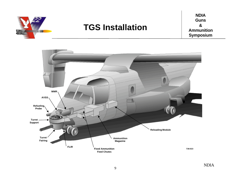

## **TGS Installation**

**NDIA Guns & Ammunition Symposium**